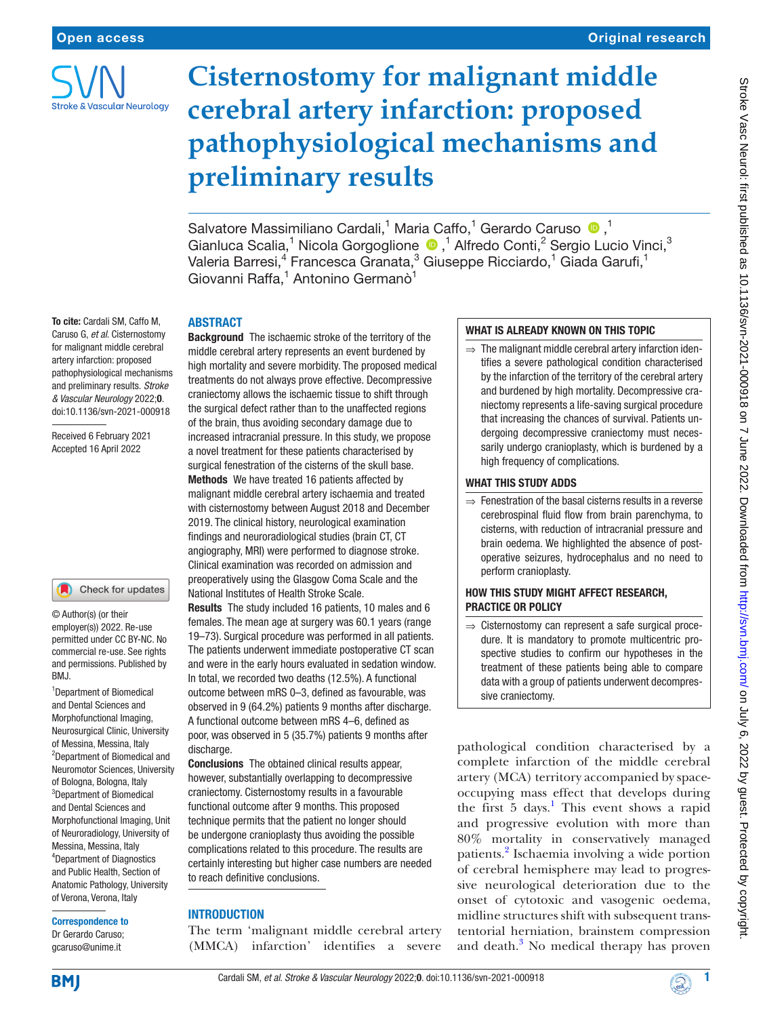

# **Cisternostomy for malignant middle cerebral artery infarction: proposed pathophysiological mechanisms and preliminary results**

Salvatore Massimiliano Cardali,<sup>1</sup> Maria Caffo,<sup>1</sup> Gerardo Caruso <sup>1</sup>0,<sup>1</sup> GianlucaScalia,<sup>1</sup> Nicola Gorgoglione <sup>1</sup>, <sup>1</sup> Alfredo Conti,<sup>2</sup> Sergio Lucio Vinci,<sup>3</sup> Valeria Barresi, $^4$  Francesca Granata, $^3$  Giuseppe Ricciardo, $^1$  Giada Garufi, $^1$ Giovanni Raffa,<sup>1</sup> Antonino Germanò<sup>1</sup>

# To cite: Cardali SM, Caffo M, Caruso G, *et al*. Cisternostomy for malignant middle cerebral artery infarction: proposed

pathophysiological mechanisms and preliminary results. *Stroke & Vascular Neurology* 2022;0. doi:10.1136/svn-2021-000918

Received 6 February 2021 Accepted 16 April 2022

## Check for updates

© Author(s) (or their employer(s)) 2022. Re-use permitted under CC BY-NC. No commercial re-use. See rights and permissions. Published by BMJ.

<sup>1</sup>Department of Biomedical and Dental Sciences and Morphofunctional Imaging, Neurosurgical Clinic, University of Messina, Messina, Italy 2 Department of Biomedical and Neuromotor Sciences, University of Bologna, Bologna, Italy 3 Department of Biomedical and Dental Sciences and Morphofunctional Imaging, Unit of Neuroradiology, University of Messina, Messina, Italy 4 Department of Diagnostics and Public Health, Section of Anatomic Pathology, University of Verona, Verona, Italy

#### Correspondence to

Dr Gerardo Caruso; gcaruso@unime.it

## ABSTRACT

Background The ischaemic stroke of the territory of the middle cerebral artery represents an event burdened by high mortality and severe morbidity. The proposed medical treatments do not always prove effective. Decompressive craniectomy allows the ischaemic tissue to shift through the surgical defect rather than to the unaffected regions of the brain, thus avoiding secondary damage due to increased intracranial pressure. In this study, we propose a novel treatment for these patients characterised by surgical fenestration of the cisterns of the skull base. Methods We have treated 16 patients affected by malignant middle cerebral artery ischaemia and treated with cisternostomy between August 2018 and December 2019. The clinical history, neurological examination findings and neuroradiological studies (brain CT, CT angiography, MRI) were performed to diagnose stroke. Clinical examination was recorded on admission and preoperatively using the Glasgow Coma Scale and the National Institutes of Health Stroke Scale.

Results The study included 16 patients, 10 males and 6 females. The mean age at surgery was 60.1 years (range 19–73). Surgical procedure was performed in all patients. The patients underwent immediate postoperative CT scan and were in the early hours evaluated in sedation window. In total, we recorded two deaths (12.5%). A functional outcome between mRS 0–3, defined as favourable, was observed in 9 (64.2%) patients 9 months after discharge. A functional outcome between mRS 4–6, defined as poor, was observed in 5 (35.7%) patients 9 months after discharge.

Conclusions The obtained clinical results appear, however, substantially overlapping to decompressive craniectomy. Cisternostomy results in a favourable functional outcome after 9 months. This proposed technique permits that the patient no longer should be undergone cranioplasty thus avoiding the possible complications related to this procedure. The results are certainly interesting but higher case numbers are needed to reach definitive conclusions.

# **INTRODUCTION**

The term 'malignant middle cerebral artery (MMCA) infarction' identifies a severe

# WHAT IS ALREADY KNOWN ON THIS TOPIC

 $\Rightarrow$  The malignant middle cerebral artery infarction identifies a severe pathological condition characterised by the infarction of the territory of the cerebral artery and burdened by high mortality. Decompressive craniectomy represents a life-saving surgical procedure that increasing the chances of survival. Patients undergoing decompressive craniectomy must necessarily undergo cranioplasty, which is burdened by a high frequency of complications.

## WHAT THIS STUDY ADDS

 $\Rightarrow$  Fenestration of the basal cisterns results in a reverse cerebrospinal fluid flow from brain parenchyma, to cisterns, with reduction of intracranial pressure and brain oedema. We highlighted the absence of postoperative seizures, hydrocephalus and no need to perform cranioplasty.

## HOW THIS STUDY MIGHT AFFECT RESEARCH, PRACTICE OR POLICY

⇒ Cisternostomy can represent a safe surgical procedure. It is mandatory to promote multicentric prospective studies to confirm our hypotheses in the treatment of these patients being able to compare data with a group of patients underwent decompressive craniectomy.

pathological condition characterised by a complete infarction of the middle cerebral artery (MCA) territory accompanied by spaceoccupying mass effect that develops during the first 5 days.<sup>[1](#page-5-0)</sup> This event shows a rapid and progressive evolution with more than 80% mortality in conservatively managed patients.<sup>2</sup> Ischaemia involving a wide portion of cerebral hemisphere may lead to progressive neurological deterioration due to the onset of cytotoxic and vasogenic oedema, midline structures shift with subsequent transtentorial herniation, brainstem compression and death. $3$  No medical therapy has proven

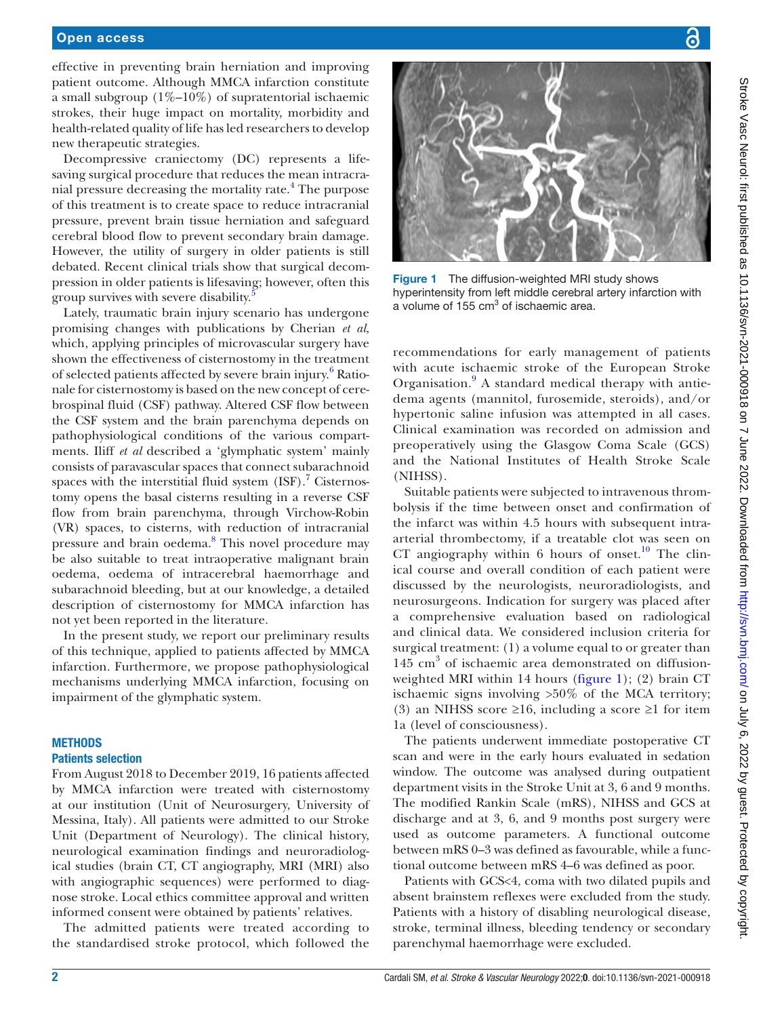### Open access

effective in preventing brain herniation and improving patient outcome. Although MMCA infarction constitute a small subgroup  $(1\% - 10\%)$  of supratentorial ischaemic strokes, their huge impact on mortality, morbidity and health-related quality of life has led researchers to develop new therapeutic strategies.

Decompressive craniectomy (DC) represents a lifesaving surgical procedure that reduces the mean intracra-nial pressure decreasing the mortality rate.<sup>[4](#page-5-3)</sup> The purpose of this treatment is to create space to reduce intracranial pressure, prevent brain tissue herniation and safeguard cerebral blood flow to prevent secondary brain damage. However, the utility of surgery in older patients is still debated. Recent clinical trials show that surgical decompression in older patients is lifesaving; however, often this group survives with severe disability.

Lately, traumatic brain injury scenario has undergone promising changes with publications by Cherian *et al*, which, applying principles of microvascular surgery have shown the effectiveness of cisternostomy in the treatment of selected patients affected by severe brain injury.<sup>[6](#page-5-5)</sup> Rationale for cisternostomy is based on the new concept of cerebrospinal fluid (CSF) pathway. Altered CSF flow between the CSF system and the brain parenchyma depends on pathophysiological conditions of the various compartments. Iliff *et al* described a 'glymphatic system' mainly consists of paravascular spaces that connect subarachnoid spaces with the interstitial fluid system  $(ISF)$ .<sup>[7](#page-5-6)</sup> Cisternostomy opens the basal cisterns resulting in a reverse CSF flow from brain parenchyma, through Virchow-Robin (VR) spaces, to cisterns, with reduction of intracranial pressure and brain oedema.<sup>[8](#page-5-7)</sup> This novel procedure may be also suitable to treat intraoperative malignant brain oedema, oedema of intracerebral haemorrhage and subarachnoid bleeding, but at our knowledge, a detailed description of cisternostomy for MMCA infarction has not yet been reported in the literature.

In the present study, we report our preliminary results of this technique, applied to patients affected by MMCA infarction. Furthermore, we propose pathophysiological mechanisms underlying MMCA infarction, focusing on impairment of the glymphatic system.

#### **METHODS**

#### Patients selection

From August 2018 to December 2019, 16 patients affected by MMCA infarction were treated with cisternostomy at our institution (Unit of Neurosurgery, University of Messina, Italy). All patients were admitted to our Stroke Unit (Department of Neurology). The clinical history, neurological examination findings and neuroradiological studies (brain CT, CT angiography, MRI (MRI) also with angiographic sequences) were performed to diagnose stroke. Local ethics committee approval and written informed consent were obtained by patients' relatives.

The admitted patients were treated according to the standardised stroke protocol, which followed the



Figure 1 The diffusion-weighted MRI study shows hyperintensity from left middle cerebral artery infarction with a volume of 155 cm<sup>3</sup> of ischaemic area.

<span id="page-1-0"></span>recommendations for early management of patients with acute ischaemic stroke of the European Stroke Organisation.<sup>[9](#page-5-8)</sup> A standard medical therapy with antiedema agents (mannitol, furosemide, steroids), and/or hypertonic saline infusion was attempted in all cases. Clinical examination was recorded on admission and preoperatively using the Glasgow Coma Scale (GCS) and the National Institutes of Health Stroke Scale (NIHSS).

Suitable patients were subjected to intravenous thrombolysis if the time between onset and confirmation of the infarct was within 4.5 hours with subsequent intraarterial thrombectomy, if a treatable clot was seen on CT angiography within 6 hours of onset.<sup>10</sup> The clinical course and overall condition of each patient were discussed by the neurologists, neuroradiologists, and neurosurgeons. Indication for surgery was placed after a comprehensive evaluation based on radiological and clinical data. We considered inclusion criteria for surgical treatment: (1) a volume equal to or greater than 145 cm<sup>3</sup> of ischaemic area demonstrated on diffusionweighted MRI within 14 hours [\(figure](#page-1-0) 1); (2) brain CT ischaemic signs involving >50% of the MCA territory; (3) an NIHSS score  $\geq 16$ , including a score  $\geq 1$  for item 1a (level of consciousness).

The patients underwent immediate postoperative CT scan and were in the early hours evaluated in sedation window. The outcome was analysed during outpatient department visits in the Stroke Unit at 3, 6 and 9 months. The modified Rankin Scale (mRS), NIHSS and GCS at discharge and at 3, 6, and 9 months post surgery were used as outcome parameters. A functional outcome between mRS 0–3 was defined as favourable, while a functional outcome between mRS 4–6 was defined as poor.

Patients with GCS<4, coma with two dilated pupils and absent brainstem reflexes were excluded from the study. Patients with a history of disabling neurological disease, stroke, terminal illness, bleeding tendency or secondary parenchymal haemorrhage were excluded.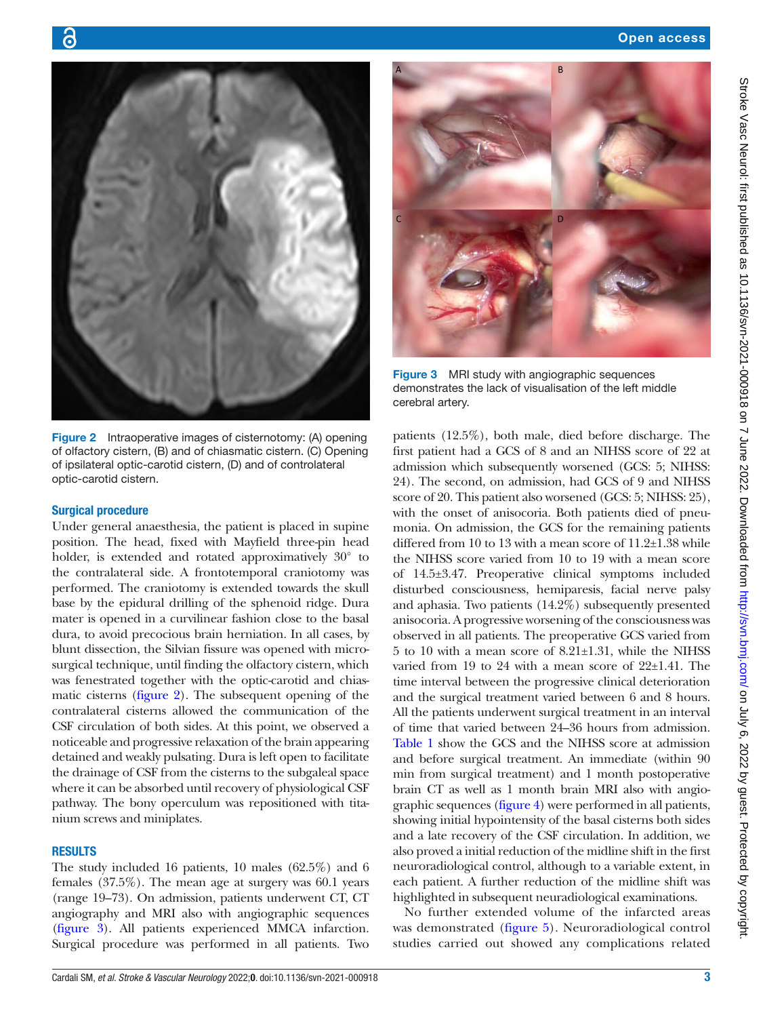

Stroke Vasc Neurol: tirst published as 10.1136/svn-2021-000918 on 7 June 2022. Downloaded from <http://svn.bmj.com/> on July 6, 2022 by guest. Protected by copyright.



Figure 2 Intraoperative images of cisternotomy: (A) opening of olfactory cistern, (B) and of chiasmatic cistern. (C) Opening of ipsilateral optic-carotid cistern, (D) and of controlateral optic-carotid cistern.

#### <span id="page-2-0"></span>Surgical procedure

6

Under general anaesthesia, the patient is placed in supine position. The head, fixed with Mayfield three-pin head holder, is extended and rotated approximatively 30° to the contralateral side. A frontotemporal craniotomy was performed. The craniotomy is extended towards the skull base by the epidural drilling of the sphenoid ridge. Dura mater is opened in a curvilinear fashion close to the basal dura, to avoid precocious brain herniation. In all cases, by blunt dissection, the Silvian fissure was opened with microsurgical technique, until finding the olfactory cistern, which was fenestrated together with the optic-carotid and chiasmatic cisterns [\(figure](#page-2-0) 2). The subsequent opening of the contralateral cisterns allowed the communication of the CSF circulation of both sides. At this point, we observed a noticeable and progressive relaxation of the brain appearing detained and weakly pulsating. Dura is left open to facilitate the drainage of CSF from the cisterns to the subgaleal space where it can be absorbed until recovery of physiological CSF pathway. The bony operculum was repositioned with titanium screws and miniplates.

## **RESULTS**

The study included 16 patients, 10 males (62.5%) and 6 females (37.5%). The mean age at surgery was 60.1 years (range 19–73). On admission, patients underwent CT, CT angiography and MRI also with angiographic sequences ([figure](#page-2-1) 3). All patients experienced MMCA infarction. Surgical procedure was performed in all patients. Two



Figure 3 MRI study with angiographic sequences demonstrates the lack of visualisation of the left middle cerebral artery.

<span id="page-2-1"></span>patients (12.5%), both male, died before discharge. The first patient had a GCS of 8 and an NIHSS score of 22 at admission which subsequently worsened (GCS: 5; NIHSS: 24). The second, on admission, had GCS of 9 and NIHSS score of 20. This patient also worsened (GCS: 5; NIHSS: 25), with the onset of anisocoria. Both patients died of pneumonia. On admission, the GCS for the remaining patients differed from 10 to 13 with a mean score of 11.2±1.38 while the NIHSS score varied from 10 to 19 with a mean score of 14.5±3.47. Preoperative clinical symptoms included disturbed consciousness, hemiparesis, facial nerve palsy and aphasia. Two patients (14.2%) subsequently presented anisocoria. A progressive worsening of the consciousness was observed in all patients. The preoperative GCS varied from 5 to 10 with a mean score of 8.21±1.31, while the NIHSS varied from 19 to 24 with a mean score of  $22\pm1.41$ . The time interval between the progressive clinical deterioration and the surgical treatment varied between 6 and 8 hours. All the patients underwent surgical treatment in an interval of time that varied between 24–36 hours from admission. [Table](#page-3-0) 1 show the GCS and the NIHSS score at admission and before surgical treatment. An immediate (within 90 min from surgical treatment) and 1 month postoperative brain CT as well as 1 month brain MRI also with angiographic sequences [\(figure](#page-3-1) 4) were performed in all patients, showing initial hypointensity of the basal cisterns both sides and a late recovery of the CSF circulation. In addition, we also proved a initial reduction of the midline shift in the first neuroradiological control, although to a variable extent, in each patient. A further reduction of the midline shift was highlighted in subsequent neuradiological examinations.

No further extended volume of the infarcted areas was demonstrated [\(figure](#page-3-2) 5). Neuroradiological control studies carried out showed any complications related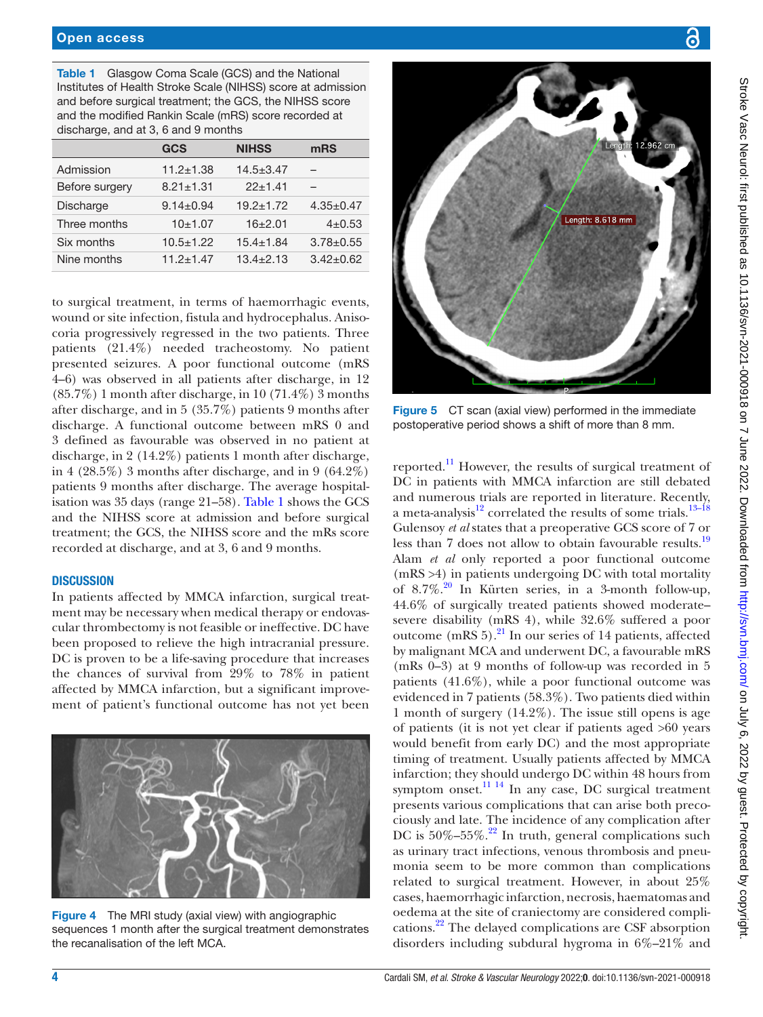<span id="page-3-0"></span>Table 1 Glasgow Coma Scale (GCS) and the National Institutes of Health Stroke Scale (NIHSS) score at admission and before surgical treatment; the GCS, the NIHSS score and the modified Rankin Scale (mRS) score recorded at discharge, and at 3, 6 and 9 months

|                  | <b>GCS</b>      | <b>NIHSS</b>    | mRS             |
|------------------|-----------------|-----------------|-----------------|
| Admission        | $11.2 \pm 1.38$ | $14.5 \pm 3.47$ |                 |
| Before surgery   | $8.21 \pm 1.31$ | $22 + 1.41$     |                 |
| <b>Discharge</b> | $9.14 \pm 0.94$ | $19.2 \pm 1.72$ | $4.35 \pm 0.47$ |
| Three months     | 10±1.07         | $16+2.01$       | $4 + 0.53$      |
| Six months       | $10.5 \pm 1.22$ | $15.4 \pm 1.84$ | $3.78 + 0.55$   |
| Nine months      | $11.2 \pm 1.47$ | $13.4 + 2.13$   | $3.42 \pm 0.62$ |

to surgical treatment, in terms of haemorrhagic events, wound or site infection, fistula and hydrocephalus. Anisocoria progressively regressed in the two patients. Three patients (21.4%) needed tracheostomy. No patient presented seizures. A poor functional outcome (mRS 4–6) was observed in all patients after discharge, in 12 (85.7%) 1 month after discharge, in 10 (71.4%) 3 months after discharge, and in 5 (35.7%) patients 9 months after discharge. A functional outcome between mRS 0 and 3 defined as favourable was observed in no patient at discharge, in 2 (14.2%) patients 1 month after discharge, in 4 (28.5%) 3 months after discharge, and in 9 (64.2%) patients 9 months after discharge. The average hospitalisation was 35 days (range 21–58). [Table](#page-3-0) 1 shows the GCS and the NIHSS score at admission and before surgical treatment; the GCS, the NIHSS score and the mRs score recorded at discharge, and at 3, 6 and 9 months.

### **DISCUSSION**

In patients affected by MMCA infarction, surgical treatment may be necessary when medical therapy or endovascular thrombectomy is not feasible or ineffective. DC have been proposed to relieve the high intracranial pressure. DC is proven to be a life-saving procedure that increases the chances of survival from 29% to 78% in patient affected by MMCA infarction, but a significant improvement of patient's functional outcome has not yet been

<span id="page-3-1"></span>

Figure 4 The MRI study (axial view) with angiographic sequences 1 month after the surgical treatment demonstrates the recanalisation of the left MCA.



Figure 5 CT scan (axial view) performed in the immediate postoperative period shows a shift of more than 8 mm.

<span id="page-3-2"></span>reported.[11](#page-5-10) However, the results of surgical treatment of DC in patients with MMCA infarction are still debated and numerous trials are reported in literature. Recently, a meta-analysis<sup>12</sup> correlated the results of some trials.<sup>[13–18](#page-5-12)</sup> Gulensoy *et al* states that a preoperative GCS score of 7 or less than 7 does not allow to obtain favourable results.<sup>[19](#page-5-13)</sup> Alam *et al* only reported a poor functional outcome (mRS >4) in patients undergoing DC with total mortality of  $8.7\%$ .<sup>[20](#page-5-14)</sup> In Kürten series, in a 3-month follow-up, 44.6% of surgically treated patients showed moderate– severe disability (mRS 4), while 32.6% suffered a poor outcome  $(mRS 5)$ .<sup>21</sup> In our series of 14 patients, affected by malignant MCA and underwent DC, a favourable mRS (mRs 0–3) at 9 months of follow-up was recorded in 5 patients (41.6%), while a poor functional outcome was evidenced in 7 patients (58.3%). Two patients died within 1 month of surgery (14.2%). The issue still opens is age of patients (it is not yet clear if patients aged >60 years would benefit from early DC) and the most appropriate timing of treatment. Usually patients affected by MMCA infarction; they should undergo DC within 48 hours from symptom onset.<sup>[11 14](#page-5-10)</sup> In any case, DC surgical treatment presents various complications that can arise both precociously and late. The incidence of any complication after DC is  $50\%-55\%$ .<sup>[22](#page-5-16)</sup> In truth, general complications such as urinary tract infections, venous thrombosis and pneumonia seem to be more common than complications related to surgical treatment. However, in about 25% cases, haemorrhagic infarction, necrosis, haematomas and oedema at the site of craniectomy are considered complications[.22](#page-5-16) The delayed complications are CSF absorption disorders including subdural hygroma in 6%–21% and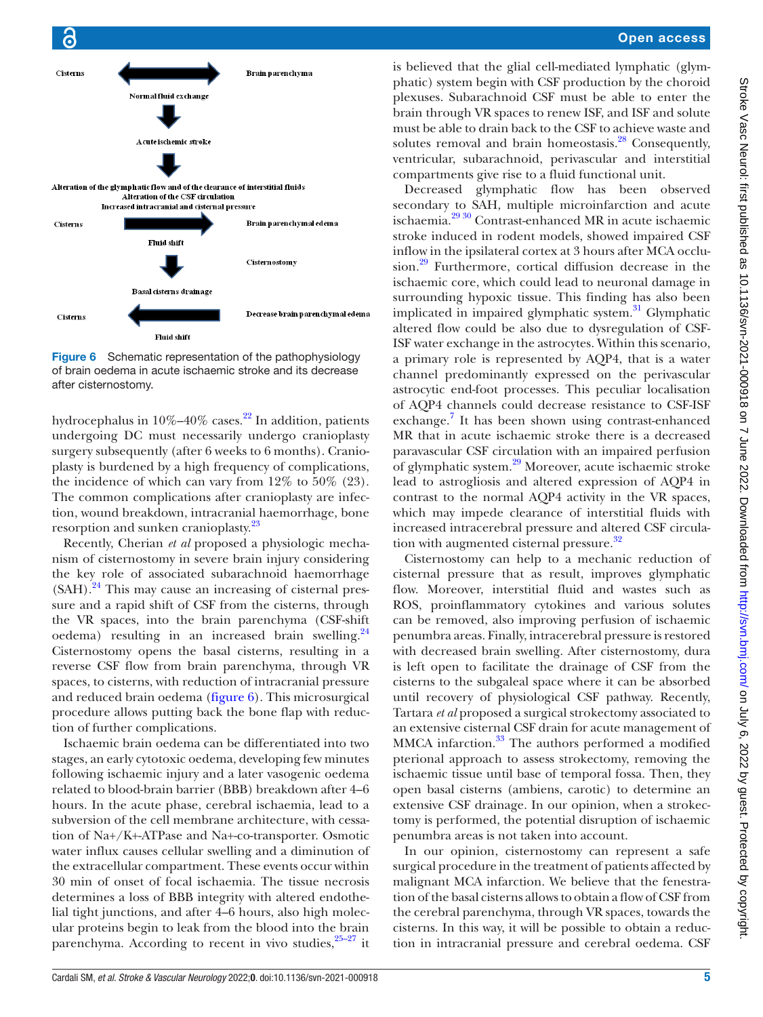

<span id="page-4-0"></span>Figure 6 Schematic representation of the pathophysiology of brain oedema in acute ischaemic stroke and its decrease after cisternostomy.

hydrocephalus in  $10\% - 40\%$  cases.<sup>22</sup> In addition, patients undergoing DC must necessarily undergo cranioplasty surgery subsequently (after 6 weeks to 6 months). Cranioplasty is burdened by a high frequency of complications, the incidence of which can vary from 12% to 50% (23). The common complications after cranioplasty are infection, wound breakdown, intracranial haemorrhage, bone resorption and sunken cranioplasty.<sup>23</sup>

Recently, Cherian *et al* proposed a physiologic mechanism of cisternostomy in severe brain injury considering the key role of associated subarachnoid haemorrhage  $(SAH)$ .<sup>24</sup> This may cause an increasing of cisternal pressure and a rapid shift of CSF from the cisterns, through the VR spaces, into the brain parenchyma (CSF-shift oedema) resulting in an increased brain swelling.<sup>24</sup> Cisternostomy opens the basal cisterns, resulting in a reverse CSF flow from brain parenchyma, through VR spaces, to cisterns, with reduction of intracranial pressure and reduced brain oedema ([figure](#page-4-0) 6). This microsurgical procedure allows putting back the bone flap with reduction of further complications.

Ischaemic brain oedema can be differentiated into two stages, an early cytotoxic oedema, developing few minutes following ischaemic injury and a later vasogenic oedema related to blood-brain barrier (BBB) breakdown after 4–6 hours. In the acute phase, cerebral ischaemia, lead to a subversion of the cell membrane architecture, with cessation of Na+/K+-ATPase and Na+-co-transporter. Osmotic water influx causes cellular swelling and a diminution of the extracellular compartment. These events occur within 30 min of onset of focal ischaemia. The tissue necrosis determines a loss of BBB integrity with altered endothelial tight junctions, and after 4–6 hours, also high molecular proteins begin to leak from the blood into the brain parenchyma. According to recent in vivo studies, $25-27$  it

is believed that the glial cell-mediated lymphatic (glymphatic) system begin with CSF production by the choroid plexuses. Subarachnoid CSF must be able to enter the brain through VR spaces to renew ISF, and ISF and solute must be able to drain back to the CSF to achieve waste and solutes removal and brain homeostasis.<sup>28</sup> Consequently, ventricular, subarachnoid, perivascular and interstitial compartments give rise to a fluid functional unit.

Decreased glymphatic flow has been observed secondary to SAH, multiple microinfarction and acute ischaemia[.29 30](#page-5-21) Contrast-enhanced MR in acute ischaemic stroke induced in rodent models, showed impaired CSF inflow in the ipsilateral cortex at 3 hours after MCA occlusion.<sup>29</sup> Furthermore, cortical diffusion decrease in the ischaemic core, which could lead to neuronal damage in surrounding hypoxic tissue. This finding has also been implicated in impaired glymphatic system. $^{31}$  Glymphatic altered flow could be also due to dysregulation of CSF-ISF water exchange in the astrocytes. Within this scenario, a primary role is represented by AQP4, that is a water channel predominantly expressed on the perivascular astrocytic end-foot processes. This peculiar localisation of AQP4 channels could decrease resistance to CSF-ISF exchange.<sup>7</sup> It has been shown using contrast-enhanced MR that in acute ischaemic stroke there is a decreased paravascular CSF circulation with an impaired perfusion of glymphatic system.[29](#page-5-21) Moreover, acute ischaemic stroke lead to astrogliosis and altered expression of AQP4 in contrast to the normal AQP4 activity in the VR spaces, which may impede clearance of interstitial fluids with increased intracerebral pressure and altered CSF circula-tion with augmented cisternal pressure.<sup>[32](#page-5-23)</sup>

Cisternostomy can help to a mechanic reduction of cisternal pressure that as result, improves glymphatic flow. Moreover, interstitial fluid and wastes such as ROS, proinflammatory cytokines and various solutes can be removed, also improving perfusion of ischaemic penumbra areas. Finally, intracerebral pressure is restored with decreased brain swelling. After cisternostomy, dura is left open to facilitate the drainage of CSF from the cisterns to the subgaleal space where it can be absorbed until recovery of physiological CSF pathway. Recently, Tartara *et al* proposed a surgical strokectomy associated to an extensive cisternal CSF drain for acute management of MMCA infarction.<sup>[33](#page-5-24)</sup> The authors performed a modified pterional approach to assess strokectomy, removing the ischaemic tissue until base of temporal fossa. Then, they open basal cisterns (ambiens, carotic) to determine an extensive CSF drainage. In our opinion, when a strokectomy is performed, the potential disruption of ischaemic penumbra areas is not taken into account.

In our opinion, cisternostomy can represent a safe surgical procedure in the treatment of patients affected by malignant MCA infarction. We believe that the fenestration of the basal cisterns allows to obtain a flow of CSF from the cerebral parenchyma, through VR spaces, towards the cisterns. In this way, it will be possible to obtain a reduction in intracranial pressure and cerebral oedema. CSF